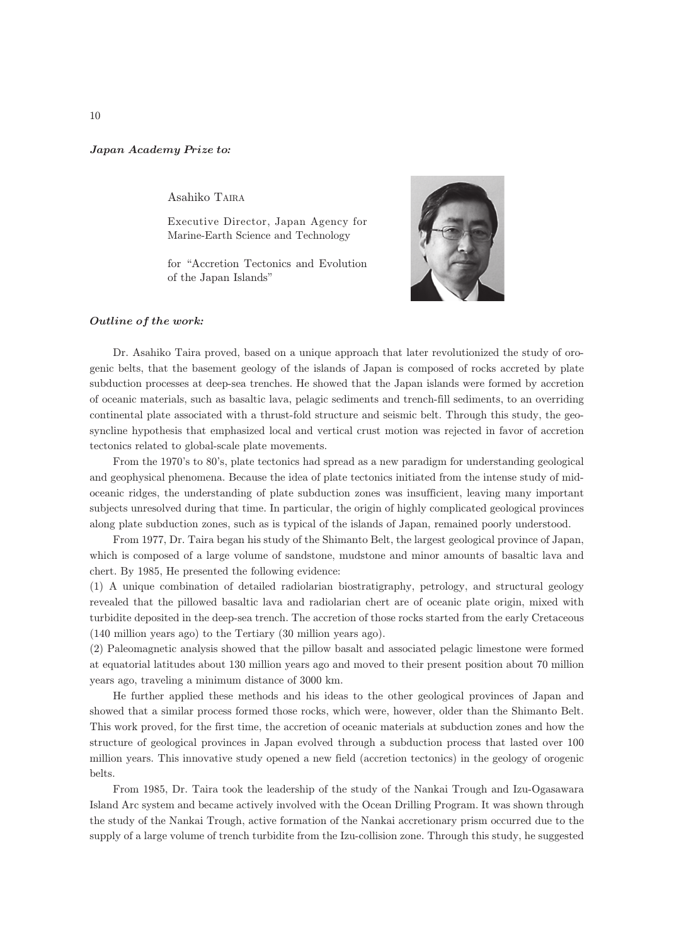## Japan Academy Prize to*:*

Asahiko TAIRA

Executive Director, Japan Agency for Marine-Earth Science and Technology

for "Accretion Tectonics and Evolution of the Japan Islands"



## Outline of the work*:*

Dr. Asahiko Taira proved, based on a unique approach that later revolutionized the study of orogenic belts, that the basement geology of the islands of Japan is composed of rocks accreted by plate subduction processes at deep-sea trenches. He showed that the Japan islands were formed by accretion of oceanic materials, such as basaltic lava, pelagic sediments and trench-fill sediments, to an overriding continental plate associated with a thrust-fold structure and seismic belt. Through this study, the geosyncline hypothesis that emphasized local and vertical crust motion was rejected in favor of accretion tectonics related to global-scale plate movements.

From the 1970's to 80's, plate tectonics had spread as a new paradigm for understanding geological and geophysical phenomena. Because the idea of plate tectonics initiated from the intense study of midoceanic ridges, the understanding of plate subduction zones was insufficient, leaving many important subjects unresolved during that time. In particular, the origin of highly complicated geological provinces along plate subduction zones, such as is typical of the islands of Japan, remained poorly understood.

From 1977, Dr. Taira began his study of the Shimanto Belt, the largest geological province of Japan, which is composed of a large volume of sandstone, mudstone and minor amounts of basaltic lava and chert. By 1985, He presented the following evidence:

(1) A unique combination of detailed radiolarian biostratigraphy, petrology, and structural geology revealed that the pillowed basaltic lava and radiolarian chert are of oceanic plate origin, mixed with turbidite deposited in the deep-sea trench. The accretion of those rocks started from the early Cretaceous (140 million years ago) to the Tertiary (30 million years ago).

(2) Paleomagnetic analysis showed that the pillow basalt and associated pelagic limestone were formed at equatorial latitudes about 130 million years ago and moved to their present position about 70 million years ago, traveling a minimum distance of 3000 km.

He further applied these methods and his ideas to the other geological provinces of Japan and showed that a similar process formed those rocks, which were, however, older than the Shimanto Belt. This work proved, for the first time, the accretion of oceanic materials at subduction zones and how the structure of geological provinces in Japan evolved through a subduction process that lasted over 100 million years. This innovative study opened a new field (accretion tectonics) in the geology of orogenic belts.

From 1985, Dr. Taira took the leadership of the study of the Nankai Trough and Izu-Ogasawara Island Arc system and became actively involved with the Ocean Drilling Program. It was shown through the study of the Nankai Trough, active formation of the Nankai accretionary prism occurred due to the supply of a large volume of trench turbidite from the Izu-collision zone. Through this study, he suggested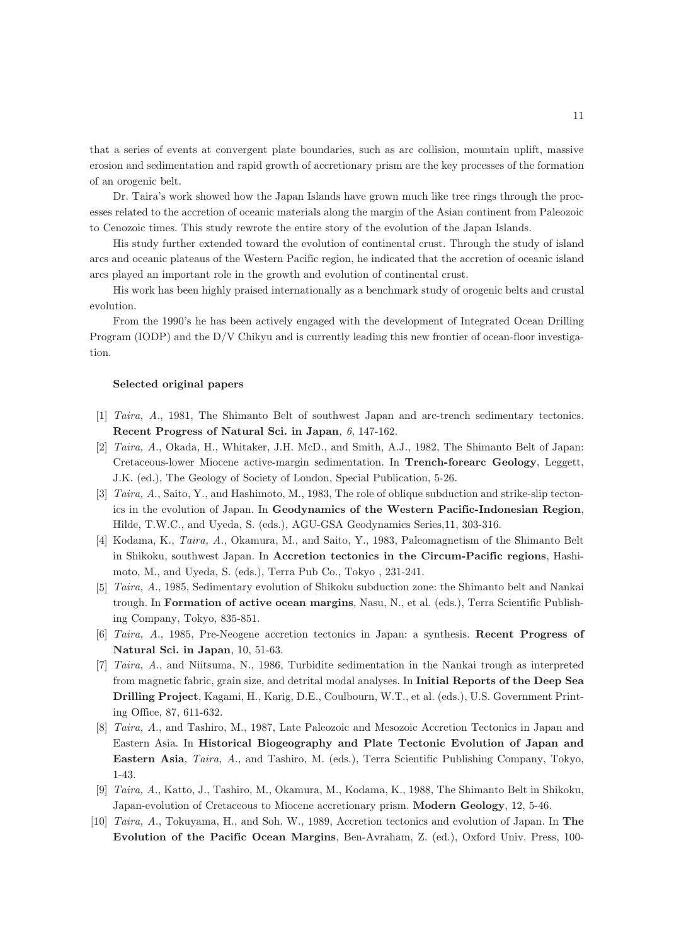that a series of events at convergent plate boundaries, such as arc collision, mountain uplift, massive erosion and sedimentation and rapid growth of accretionary prism are the key processes of the formation of an orogenic belt.

Dr. Taira's work showed how the Japan Islands have grown much like tree rings through the processes related to the accretion of oceanic materials along the margin of the Asian continent from Paleozoic to Cenozoic times. This study rewrote the entire story of the evolution of the Japan Islands.

His study further extended toward the evolution of continental crust. Through the study of island arcs and oceanic plateaus of the Western Pacific region, he indicated that the accretion of oceanic island arcs played an important role in the growth and evolution of continental crust.

His work has been highly praised internationally as a benchmark study of orogenic belts and crustal evolution.

From the 1990's he has been actively engaged with the development of Integrated Ocean Drilling Program (IODP) and the D/V Chikyu and is currently leading this new frontier of ocean-floor investigation.

## Selected original papers

- [1] Taira, A., 1981, The Shimanto Belt of southwest Japan and arc-trench sedimentary tectonics. Recent Progress of Natural Sci. in Japan, 6, 147-162.
- [2] Taira, A., Okada, H., Whitaker, J.H. McD., and Smith, A.J., 1982, The Shimanto Belt of Japan: Cretaceous-lower Miocene active-margin sedimentation. In Trench-forearc Geology, Leggett, J.K. (ed.), The Geology of Society of London, Special Publication, 5-26.
- [3] Taira, A., Saito, Y., and Hashimoto, M., 1983, The role of oblique subduction and strike-slip tectonics in the evolution of Japan. In Geodynamics of the Western Pacific-Indonesian Region, Hilde, T.W.C., and Uyeda, S. (eds.), AGU-GSA Geodynamics Series,11, 303-316.
- [4] Kodama, K., Taira, A., Okamura, M., and Saito, Y., 1983, Paleomagnetism of the Shimanto Belt in Shikoku, southwest Japan. In Accretion tectonics in the Circum-Pacific regions, Hashimoto, M., and Uyeda, S. (eds.), Terra Pub Co., Tokyo , 231-241.
- [5] Taira, A., 1985, Sedimentary evolution of Shikoku subduction zone: the Shimanto belt and Nankai trough. In Formation of active ocean margins, Nasu, N., et al. (eds.), Terra Scientific Publishing Company, Tokyo, 835-851.
- [6] Taira, A., 1985, Pre-Neogene accretion tectonics in Japan: a synthesis. Recent Progress of Natural Sci. in Japan, 10, 51-63.
- [7] Taira, A., and Niitsuma, N., 1986, Turbidite sedimentation in the Nankai trough as interpreted from magnetic fabric, grain size, and detrital modal analyses. In Initial Reports of the Deep Sea Drilling Project, Kagami, H., Karig, D.E., Coulbourn, W.T., et al. (eds.), U.S. Government Printing Office, 87, 611-632.
- [8] Taira, A., and Tashiro, M., 1987, Late Paleozoic and Mesozoic Accretion Tectonics in Japan and Eastern Asia. In Historical Biogeography and Plate Tectonic Evolution of Japan and Eastern Asia, Taira, A., and Tashiro, M. (eds.), Terra Scientific Publishing Company, Tokyo, 1-43.
- [9] Taira, A., Katto, J., Tashiro, M., Okamura, M., Kodama, K., 1988, The Shimanto Belt in Shikoku, Japan-evolution of Cretaceous to Miocene accretionary prism. Modern Geology, 12, 5-46.
- [10] Taira, A., Tokuyama, H., and Soh. W., 1989, Accretion tectonics and evolution of Japan. In The Evolution of the Pacific Ocean Margins, Ben-Avraham, Z. (ed.), Oxford Univ. Press, 100-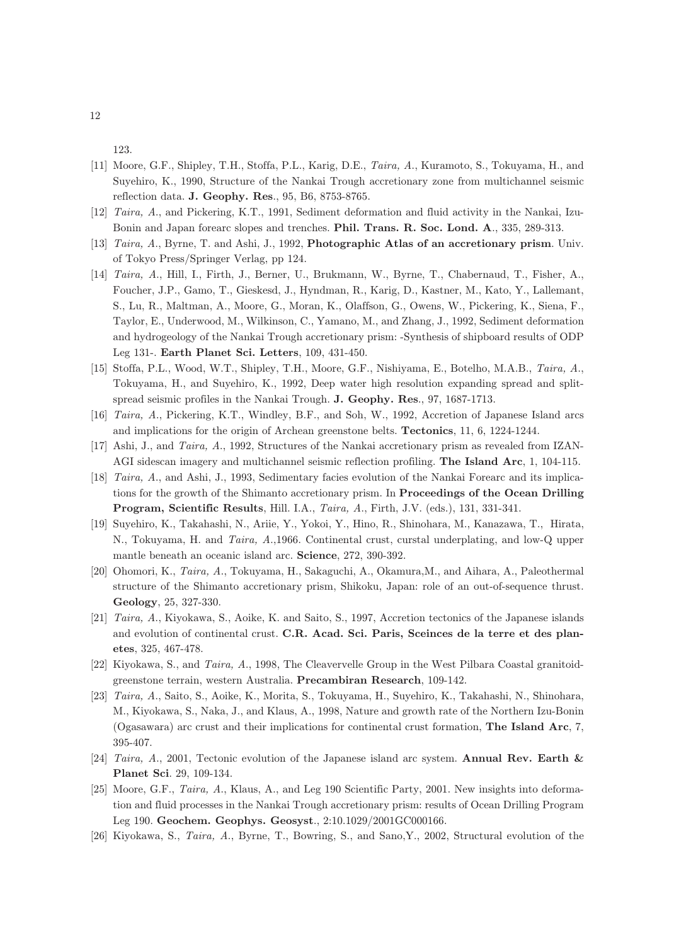123.

- [11] Moore, G.F., Shipley, T.H., Stoffa, P.L., Karig, D.E., Taira, A., Kuramoto, S., Tokuyama, H., and Suyehiro, K., 1990, Structure of the Nankai Trough accretionary zone from multichannel seismic reflection data. J. Geophy. Res., 95, B6, 8753-8765.
- [12] Taira, A., and Pickering, K.T., 1991, Sediment deformation and fluid activity in the Nankai, Izu-Bonin and Japan forearc slopes and trenches. Phil. Trans. R. Soc. Lond. A., 335, 289-313.
- [13] Taira, A., Byrne, T. and Ashi, J., 1992, Photographic Atlas of an accretionary prism. Univ. of Tokyo Press/Springer Verlag, pp 124.
- [14] Taira, A., Hill, I., Firth, J., Berner, U., Brukmann, W., Byrne, T., Chabernaud, T., Fisher, A., Foucher, J.P., Gamo, T., Gieskesd, J., Hyndman, R., Karig, D., Kastner, M., Kato, Y., Lallemant, S., Lu, R., Maltman, A., Moore, G., Moran, K., Olaffson, G., Owens, W., Pickering, K., Siena, F., Taylor, E., Underwood, M., Wilkinson, C., Yamano, M., and Zhang, J., 1992, Sediment deformation and hydrogeology of the Nankai Trough accretionary prism: -Synthesis of shipboard results of ODP Leg 131-. Earth Planet Sci. Letters, 109, 431-450.
- [15] Stoffa, P.L., Wood, W.T., Shipley, T.H., Moore, G.F., Nishiyama, E., Botelho, M.A.B., Taira, A., Tokuyama, H., and Suyehiro, K., 1992, Deep water high resolution expanding spread and splitspread seismic profiles in the Nankai Trough. J. Geophy. Res., 97, 1687-1713.
- [16] Taira, A., Pickering, K.T., Windley, B.F., and Soh, W., 1992, Accretion of Japanese Island arcs and implications for the origin of Archean greenstone belts. Tectonics, 11, 6, 1224-1244.
- [17] Ashi, J., and Taira, A., 1992, Structures of the Nankai accretionary prism as revealed from IZAN-AGI sidescan imagery and multichannel seismic reflection profiling. The Island Arc, 1, 104-115.
- [18] Taira, A., and Ashi, J., 1993, Sedimentary facies evolution of the Nankai Forearc and its implications for the growth of the Shimanto accretionary prism. In Proceedings of the Ocean Drilling Program, Scientific Results, Hill. I.A., Taira, A., Firth, J.V. (eds.), 131, 331-341.
- [19] Suyehiro, K., Takahashi, N., Ariie, Y., Yokoi, Y., Hino, R., Shinohara, M., Kanazawa, T., Hirata, N., Tokuyama, H. and Taira, A.,1966. Continental crust, curstal underplating, and low-Q upper mantle beneath an oceanic island arc. Science, 272, 390-392.
- [20] Ohomori, K., Taira, A., Tokuyama, H., Sakaguchi, A., Okamura,M., and Aihara, A., Paleothermal structure of the Shimanto accretionary prism, Shikoku, Japan: role of an out-of-sequence thrust. Geology, 25, 327-330.
- [21] Taira, A., Kiyokawa, S., Aoike, K. and Saito, S., 1997, Accretion tectonics of the Japanese islands and evolution of continental crust. C.R. Acad. Sci. Paris, Sceinces de la terre et des planetes, 325, 467-478.
- [22] Kiyokawa, S., and Taira, A., 1998, The Cleavervelle Group in the West Pilbara Coastal granitoidgreenstone terrain, western Australia. Precambiran Research, 109-142.
- [23] Taira, A., Saito, S., Aoike, K., Morita, S., Tokuyama, H., Suyehiro, K., Takahashi, N., Shinohara, M., Kiyokawa, S., Naka, J., and Klaus, A., 1998, Nature and growth rate of the Northern Izu-Bonin (Ogasawara) arc crust and their implications for continental crust formation, The Island Arc, 7, 395-407.
- [24] Taira, A., 2001, Tectonic evolution of the Japanese island arc system. Annual Rev. Earth & Planet Sci. 29, 109-134.
- [25] Moore, G.F., Taira, A., Klaus, A., and Leg 190 Scientific Party, 2001. New insights into deformation and fluid processes in the Nankai Trough accretionary prism: results of Ocean Drilling Program Leg 190. Geochem. Geophys. Geosyst., 2:10.1029/2001GC000166.
- [26] Kiyokawa, S., Taira, A., Byrne, T., Bowring, S., and Sano,Y., 2002, Structural evolution of the